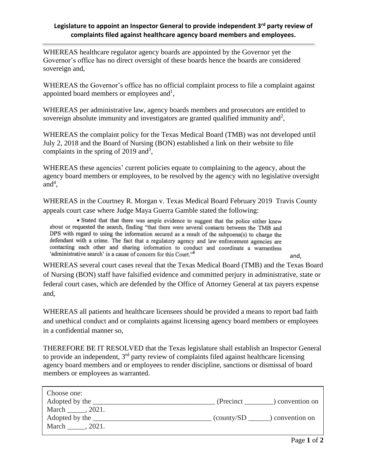## **Legislature to appoint an Inspector General to provide independent 3 rd party review of complaints filed against healthcare agency board members and employees.**

WHEREAS healthcare regulator agency boards are appointed by the Governor yet the Governor's office has no direct oversight of these boards hence the boards are considered sovereign and,

WHEREAS the Governor's office has no official complaint process to file a complaint against appointed board members or employees and<sup>1</sup>,

WHEREAS per administrative law, agency boards members and prosecutors are entitled to sovereign absolute immunity and investigators are granted qualified immunity and<sup>2</sup>,

WHEREAS the complaint policy for the Texas Medical Board (TMB) was not developed until July 2, 2018 and the Board of Nursing (BON) established a link on their website to file complaints in the spring of 2019 and<sup>3</sup>,

WHEREAS these agencies' current policies equate to complaining to the agency, about the agency board members or employees, to be resolved by the agency with no legislative oversight  $and<sup>4</sup>$ ,

WHEREAS in the Courtney R. Morgan v. Texas Medical Board February 2019 Travis County appeals court case where Judge Maya Guerra Gamble stated the following:

· Stated that that there was ample evidence to suggest that the police either knew about or requested the search, finding "that there were several contacts between the TMB and DPS with regard to using the information secured as a result of the subpoena(s) to charge the defendant with a crime. The fact that a regulatory agency and law enforcement agencies are contacting each other and sharing information to conduct and coordinate a warrantless 'administrative search' is a cause of concern for this Court."<sup>8</sup>

WHEREAS several court cases reveal that the Texas Medical Board (TMB) and the Texas Board of Nursing (BON) staff have falsified evidence and committed perjury in administrative, state or federal court cases, which are defended by the Office of Attorney General at tax payers expense and,

WHEREAS all patients and healthcare licensees should be provided a means to report bad faith and unethical conduct and or complaints against licensing agency board members or employees in a confidential manner so,

THEREFORE BE IT RESOLVED that the Texas legislature shall establish an Inspector General to provide an independent, 3<sup>rd</sup> party review of complaints filed against healthcare licensing agency board members and or employees to render discipline, sanctions or dismissal of board members or employees as warranted.

| Choose one:      |                          |                 |
|------------------|--------------------------|-----------------|
| Adopted by the   | (Precinct)               | convention on   |
| . 2021.<br>March |                          |                 |
| Adopted by the   | $\frac{1}{2}$ (county/SD | ) convention on |
| March<br>2021.   |                          |                 |
|                  |                          |                 |

and,